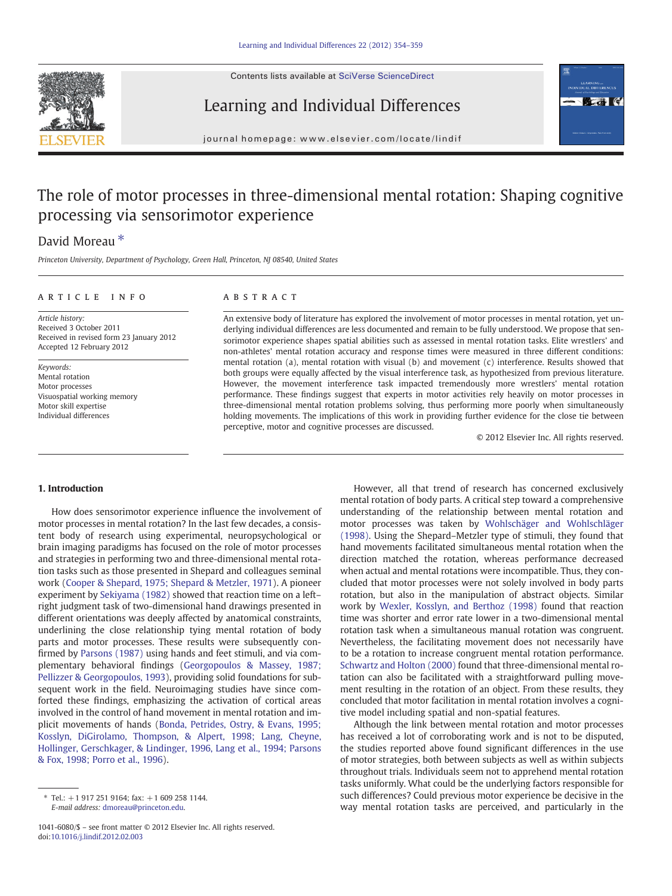Contents lists available at [SciVerse ScienceDirect](http://www.sciencedirect.com/science/journal/10416080)





Learning and Individual Differences

journal homepage: www.elsevier.com/locate/lindif

# The role of motor processes in three-dimensional mental rotation: Shaping cognitive processing via sensorimotor experience

## David Moreau<sup>\*</sup>

Princeton University, Department of Psychology, Green Hall, Princeton, NJ 08540, United States

### article info abstract

Article history: Received 3 October 2011 Received in revised form 23 January 2012 Accepted 12 February 2012

Keywords: Mental rotation Motor processes Visuospatial working memory Motor skill expertise Individual differences

An extensive body of literature has explored the involvement of motor processes in mental rotation, yet underlying individual differences are less documented and remain to be fully understood. We propose that sensorimotor experience shapes spatial abilities such as assessed in mental rotation tasks. Elite wrestlers' and non-athletes' mental rotation accuracy and response times were measured in three different conditions: mental rotation (a), mental rotation with visual (b) and movement (c) interference. Results showed that both groups were equally affected by the visual interference task, as hypothesized from previous literature. However, the movement interference task impacted tremendously more wrestlers' mental rotation performance. These findings suggest that experts in motor activities rely heavily on motor processes in three-dimensional mental rotation problems solving, thus performing more poorly when simultaneously holding movements. The implications of this work in providing further evidence for the close tie between perceptive, motor and cognitive processes are discussed.

© 2012 Elsevier Inc. All rights reserved.

#### 1. Introduction

How does sensorimotor experience influence the involvement of motor processes in mental rotation? In the last few decades, a consistent body of research using experimental, neuropsychological or brain imaging paradigms has focused on the role of motor processes and strategies in performing two and three-dimensional mental rotation tasks such as those presented in Shepard and colleagues seminal work ([Cooper & Shepard, 1975; Shepard & Metzler, 1971\)](#page-5-0). A pioneer experiment by [Sekiyama \(1982\)](#page-5-0) showed that reaction time on a left– right judgment task of two-dimensional hand drawings presented in different orientations was deeply affected by anatomical constraints, underlining the close relationship tying mental rotation of body parts and motor processes. These results were subsequently confirmed by [Parsons \(1987\)](#page-5-0) using hands and feet stimuli, and via complementary behavioral findings [\(Georgopoulos & Massey, 1987;](#page-5-0) [Pellizzer & Georgopoulos, 1993\)](#page-5-0), providing solid foundations for subsequent work in the field. Neuroimaging studies have since comforted these findings, emphasizing the activation of cortical areas involved in the control of hand movement in mental rotation and implicit movements of hands [\(Bonda, Petrides, Ostry, & Evans, 1995;](#page-5-0) [Kosslyn, DiGirolamo, Thompson, & Alpert, 1998; Lang, Cheyne,](#page-5-0) [Hollinger, Gerschkager, & Lindinger, 1996, Lang et al., 1994; Parsons](#page-5-0) [& Fox, 1998; Porro et al., 1996](#page-5-0)).

However, all that trend of research has concerned exclusively mental rotation of body parts. A critical step toward a comprehensive understanding of the relationship between mental rotation and motor processes was taken by [Wohlschäger and Wohlschläger](#page-5-0) [\(1998\).](#page-5-0) Using the Shepard–Metzler type of stimuli, they found that hand movements facilitated simultaneous mental rotation when the direction matched the rotation, whereas performance decreased when actual and mental rotations were incompatible. Thus, they concluded that motor processes were not solely involved in body parts rotation, but also in the manipulation of abstract objects. Similar work by [Wexler, Kosslyn, and Berthoz \(1998\)](#page-5-0) found that reaction time was shorter and error rate lower in a two-dimensional mental rotation task when a simultaneous manual rotation was congruent. Nevertheless, the facilitating movement does not necessarily have to be a rotation to increase congruent mental rotation performance. [Schwartz and Holton \(2000\)](#page-5-0) found that three-dimensional mental rotation can also be facilitated with a straightforward pulling movement resulting in the rotation of an object. From these results, they concluded that motor facilitation in mental rotation involves a cognitive model including spatial and non-spatial features.

Although the link between mental rotation and motor processes has received a lot of corroborating work and is not to be disputed, the studies reported above found significant differences in the use of motor strategies, both between subjects as well as within subjects throughout trials. Individuals seem not to apprehend mental rotation tasks uniformly. What could be the underlying factors responsible for such differences? Could previous motor experience be decisive in the way mental rotation tasks are perceived, and particularly in the

 $*$  Tel.:  $+1$  917 251 9164; fax:  $+1$  609 258 1144. E-mail address: [dmoreau@princeton.edu.](mailto:dmoreau@princeton.edu)

<sup>1041-6080/\$</sup> – see front matter © 2012 Elsevier Inc. All rights reserved. doi[:10.1016/j.lindif.2012.02.003](http://dx.doi.org/10.1016/j.lindif.2012.02.003)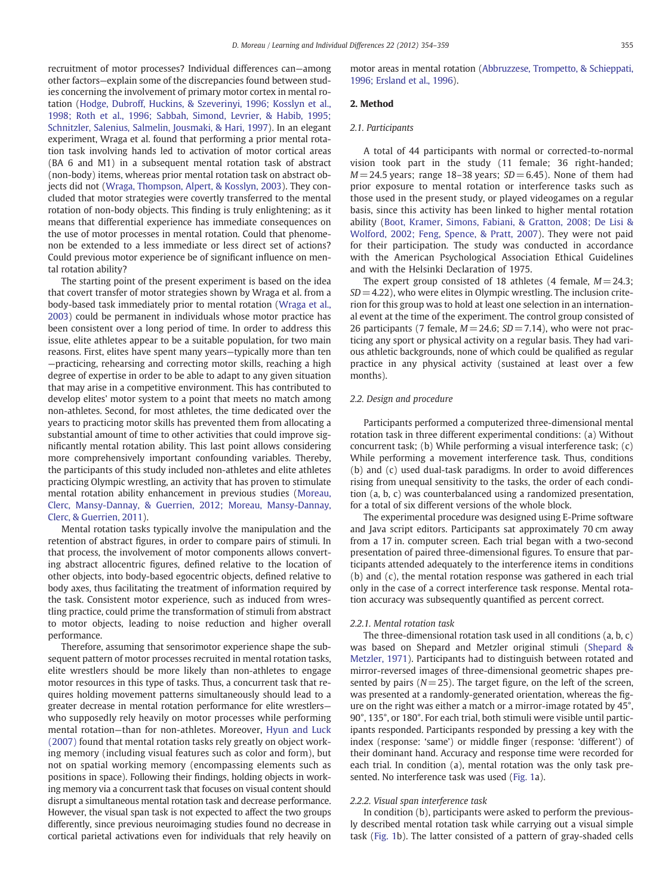recruitment of motor processes? Individual differences can—among other factors—explain some of the discrepancies found between studies concerning the involvement of primary motor cortex in mental rotation ([Hodge, Dubroff, Huckins, & Szeverinyi, 1996; Kosslyn et al.,](#page-5-0) [1998; Roth et al., 1996; Sabbah, Simond, Levrier, & Habib, 1995;](#page-5-0) [Schnitzler, Salenius, Salmelin, Jousmaki, & Hari, 1997\)](#page-5-0). In an elegant experiment, Wraga et al. found that performing a prior mental rotation task involving hands led to activation of motor cortical areas (BA 6 and M1) in a subsequent mental rotation task of abstract (non-body) items, whereas prior mental rotation task on abstract objects did not ([Wraga, Thompson, Alpert, & Kosslyn, 2003\)](#page-5-0). They concluded that motor strategies were covertly transferred to the mental rotation of non-body objects. This finding is truly enlightening; as it means that differential experience has immediate consequences on the use of motor processes in mental rotation. Could that phenomenon be extended to a less immediate or less direct set of actions? Could previous motor experience be of significant influence on mental rotation ability?

The starting point of the present experiment is based on the idea that covert transfer of motor strategies shown by Wraga et al. from a body-based task immediately prior to mental rotation [\(Wraga et al.,](#page-5-0) [2003\)](#page-5-0) could be permanent in individuals whose motor practice has been consistent over a long period of time. In order to address this issue, elite athletes appear to be a suitable population, for two main reasons. First, elites have spent many years—typically more than ten —practicing, rehearsing and correcting motor skills, reaching a high degree of expertise in order to be able to adapt to any given situation that may arise in a competitive environment. This has contributed to develop elites' motor system to a point that meets no match among non-athletes. Second, for most athletes, the time dedicated over the years to practicing motor skills has prevented them from allocating a substantial amount of time to other activities that could improve significantly mental rotation ability. This last point allows considering more comprehensively important confounding variables. Thereby, the participants of this study included non-athletes and elite athletes practicing Olympic wrestling, an activity that has proven to stimulate mental rotation ability enhancement in previous studies ([Moreau,](#page-5-0) [Clerc, Mansy-Dannay, & Guerrien, 2012; Moreau, Mansy-Dannay,](#page-5-0) [Clerc, & Guerrien, 2011\)](#page-5-0).

Mental rotation tasks typically involve the manipulation and the retention of abstract figures, in order to compare pairs of stimuli. In that process, the involvement of motor components allows converting abstract allocentric figures, defined relative to the location of other objects, into body-based egocentric objects, defined relative to body axes, thus facilitating the treatment of information required by the task. Consistent motor experience, such as induced from wrestling practice, could prime the transformation of stimuli from abstract to motor objects, leading to noise reduction and higher overall performance.

Therefore, assuming that sensorimotor experience shape the subsequent pattern of motor processes recruited in mental rotation tasks, elite wrestlers should be more likely than non-athletes to engage motor resources in this type of tasks. Thus, a concurrent task that requires holding movement patterns simultaneously should lead to a greater decrease in mental rotation performance for elite wrestlers who supposedly rely heavily on motor processes while performing mental rotation—than for non-athletes. Moreover, [Hyun and Luck](#page-5-0) [\(2007\)](#page-5-0) found that mental rotation tasks rely greatly on object working memory (including visual features such as color and form), but not on spatial working memory (encompassing elements such as positions in space). Following their findings, holding objects in working memory via a concurrent task that focuses on visual content should disrupt a simultaneous mental rotation task and decrease performance. However, the visual span task is not expected to affect the two groups differently, since previous neuroimaging studies found no decrease in cortical parietal activations even for individuals that rely heavily on

motor areas in mental rotation ([Abbruzzese, Trompetto, & Schieppati,](#page-5-0) [1996; Ersland et al., 1996](#page-5-0)).

#### 2. Method

#### 2.1. Participants

A total of 44 participants with normal or corrected-to-normal vision took part in the study (11 female; 36 right-handed;  $M= 24.5$  years; range 18–38 years;  $SD = 6.45$ ). None of them had prior exposure to mental rotation or interference tasks such as those used in the present study, or played videogames on a regular basis, since this activity has been linked to higher mental rotation ability ([Boot, Kramer, Simons, Fabiani, & Gratton, 2008; De Lisi &](#page-5-0) [Wolford, 2002; Feng, Spence, & Pratt, 2007\)](#page-5-0). They were not paid for their participation. The study was conducted in accordance with the American Psychological Association Ethical Guidelines and with the Helsinki Declaration of 1975.

The expert group consisted of 18 athletes (4 female,  $M = 24.3$ ;  $SD = 4.22$ ), who were elites in Olympic wrestling. The inclusion criterion for this group was to hold at least one selection in an international event at the time of the experiment. The control group consisted of 26 participants (7 female,  $M = 24.6$ ;  $SD = 7.14$ ), who were not practicing any sport or physical activity on a regular basis. They had various athletic backgrounds, none of which could be qualified as regular practice in any physical activity (sustained at least over a few months).

#### 2.2. Design and procedure

Participants performed a computerized three-dimensional mental rotation task in three different experimental conditions: (a) Without concurrent task; (b) While performing a visual interference task; (c) While performing a movement interference task. Thus, conditions (b) and (c) used dual-task paradigms. In order to avoid differences rising from unequal sensitivity to the tasks, the order of each condition (a, b, c) was counterbalanced using a randomized presentation, for a total of six different versions of the whole block.

The experimental procedure was designed using E-Prime software and Java script editors. Participants sat approximately 70 cm away from a 17 in. computer screen. Each trial began with a two-second presentation of paired three-dimensional figures. To ensure that participants attended adequately to the interference items in conditions (b) and (c), the mental rotation response was gathered in each trial only in the case of a correct interference task response. Mental rotation accuracy was subsequently quantified as percent correct.

#### 2.2.1. Mental rotation task

The three-dimensional rotation task used in all conditions (a, b, c) was based on Shepard and Metzler original stimuli [\(Shepard &](#page-5-0) [Metzler, 1971](#page-5-0)). Participants had to distinguish between rotated and mirror-reversed images of three-dimensional geometric shapes presented by pairs ( $N= 25$ ). The target figure, on the left of the screen, was presented at a randomly-generated orientation, whereas the figure on the right was either a match or a mirror-image rotated by 45°, 90°, 135°, or 180°. For each trial, both stimuli were visible until participants responded. Participants responded by pressing a key with the index (response: 'same') or middle finger (response: 'different') of their dominant hand. Accuracy and response time were recorded for each trial. In condition (a), mental rotation was the only task presented. No interference task was used [\(Fig. 1](#page-2-0)a).

#### 2.2.2. Visual span interference task

In condition (b), participants were asked to perform the previously described mental rotation task while carrying out a visual simple task ([Fig. 1b](#page-2-0)). The latter consisted of a pattern of gray-shaded cells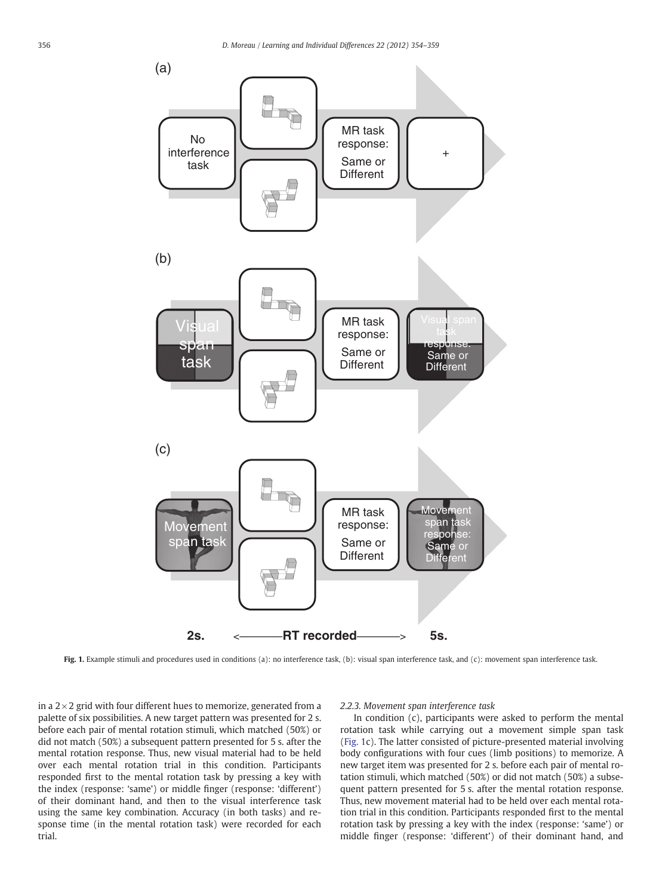<span id="page-2-0"></span>

Fig. 1. Example stimuli and procedures used in conditions (a): no interference task, (b): visual span interference task, and (c): movement span interference task.

in a  $2\times 2$  grid with four different hues to memorize, generated from a palette of six possibilities. A new target pattern was presented for 2 s. before each pair of mental rotation stimuli, which matched (50%) or did not match (50%) a subsequent pattern presented for 5 s. after the mental rotation response. Thus, new visual material had to be held over each mental rotation trial in this condition. Participants responded first to the mental rotation task by pressing a key with the index (response: 'same') or middle finger (response: 'different') of their dominant hand, and then to the visual interference task using the same key combination. Accuracy (in both tasks) and response time (in the mental rotation task) were recorded for each trial.

#### 2.2.3. Movement span interference task

In condition (c), participants were asked to perform the mental rotation task while carrying out a movement simple span task (Fig. 1c). The latter consisted of picture-presented material involving body configurations with four cues (limb positions) to memorize. A new target item was presented for 2 s. before each pair of mental rotation stimuli, which matched (50%) or did not match (50%) a subsequent pattern presented for 5 s. after the mental rotation response. Thus, new movement material had to be held over each mental rotation trial in this condition. Participants responded first to the mental rotation task by pressing a key with the index (response: 'same') or middle finger (response: 'different') of their dominant hand, and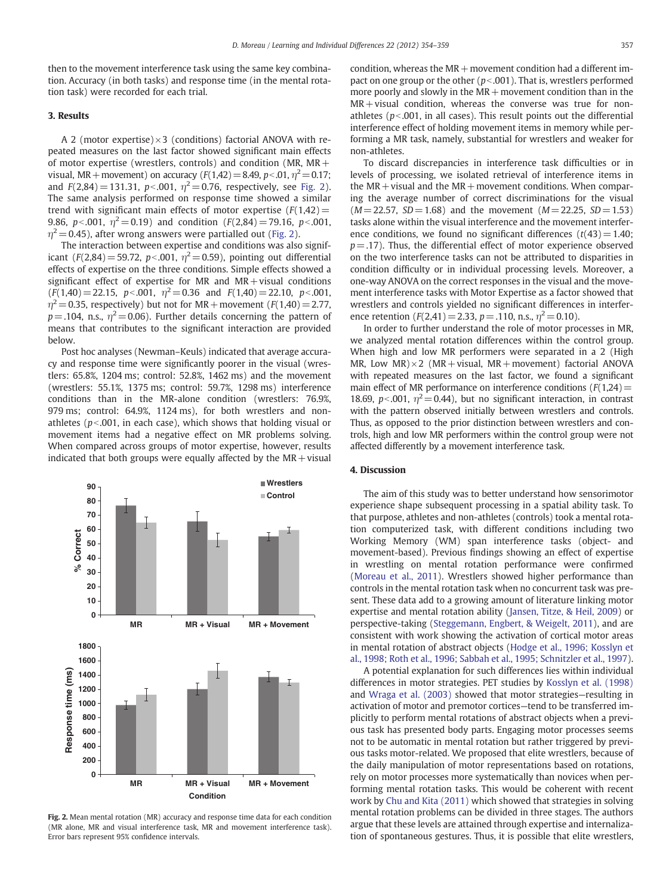then to the movement interference task using the same key combination. Accuracy (in both tasks) and response time (in the mental rotation task) were recorded for each trial.

#### 3. Results

A 2 (motor expertise) $\times$ 3 (conditions) factorial ANOVA with repeated measures on the last factor showed significant main effects of motor expertise (wrestlers, controls) and condition (MR, MR+ visual, MR + movement) on accuracy  $(F(1,42)=8.49, p<0.1, \eta^2=0.17;$ and  $F(2,84) = 131.31$ ,  $p<0.001$ ,  $\eta^2 = 0.76$ , respectively, see Fig. 2). The same analysis performed on response time showed a similar trend with significant main effects of motor expertise  $(F(1,42)$ = 9.86, p < 0.01,  $\eta^2$  = 0.19) and condition (F(2,84) = 79.16, p < 0.001,  $\eta^2$  = 0.45), after wrong answers were partialled out (Fig. 2).

The interaction between expertise and conditions was also significant (F(2,84) = 59.72, p < 0.001,  $\eta^2$  = 0.59), pointing out differential effects of expertise on the three conditions. Simple effects showed a significant effect of expertise for MR and  $MR + visual$  conditions  $(F(1,40)= 22.15, p< .001, \eta^2= 0.36 \text{ and } F(1,40)= 22.10, p< .001,$  $\eta^2$  = 0.35, respectively) but not for MR + movement (F(1,40) = 2.77,  $p = .104$ , n.s.,  $\eta^2 = 0.06$ ). Further details concerning the pattern of means that contributes to the significant interaction are provided below.

Post hoc analyses (Newman–Keuls) indicated that average accuracy and response time were significantly poorer in the visual (wrestlers: 65.8%, 1204 ms; control: 52.8%, 1462 ms) and the movement (wrestlers: 55.1%, 1375 ms; control: 59.7%, 1298 ms) interference conditions than in the MR-alone condition (wrestlers: 76.9%, 979 ms; control: 64.9%, 1124 ms), for both wrestlers and nonathletes ( $p$ <.001, in each case), which shows that holding visual or movement items had a negative effect on MR problems solving. When compared across groups of motor expertise, however, results indicated that both groups were equally affected by the  $MR + visual$ 



Fig. 2. Mean mental rotation (MR) accuracy and response time data for each condition (MR alone, MR and visual interference task, MR and movement interference task). Error bars represent 95% confidence intervals.

condition, whereas the  $MR +$ movement condition had a different impact on one group or the other ( $p<0.01$ ). That is, wrestlers performed more poorly and slowly in the  $MR +$ movement condition than in the MR+ visual condition, whereas the converse was true for nonathletes ( $p<0.001$ , in all cases). This result points out the differential interference effect of holding movement items in memory while performing a MR task, namely, substantial for wrestlers and weaker for non-athletes.

To discard discrepancies in interference task difficulties or in levels of processing, we isolated retrieval of interference items in the  $MR + visual$  and the  $MR + movement$  conditions. When comparing the average number of correct discriminations for the visual  $(M= 22.57, SD = 1.68)$  and the movement  $(M= 22.25, SD = 1.53)$ tasks alone within the visual interference and the movement interference conditions, we found no significant differences  $(t(43)= 1.40;$  $p = .17$ ). Thus, the differential effect of motor experience observed on the two interference tasks can not be attributed to disparities in condition difficulty or in individual processing levels. Moreover, a one-way ANOVA on the correct responses in the visual and the movement interference tasks with Motor Expertise as a factor showed that wrestlers and controls yielded no significant differences in interference retention  $(F(2,41)= 2.33, p = .110, n.s., \eta^2 = 0.10).$ 

In order to further understand the role of motor processes in MR, we analyzed mental rotation differences within the control group. When high and low MR performers were separated in a 2 (High MR, Low MR) $\times$ 2 (MR + visual, MR + movement) factorial ANOVA with repeated measures on the last factor, we found a significant main effect of MR performance on interference conditions  $(F(1,24)$ = 18.69, p<.001,  $\eta^2$  = 0.44), but no significant interaction, in contrast with the pattern observed initially between wrestlers and controls. Thus, as opposed to the prior distinction between wrestlers and controls, high and low MR performers within the control group were not affected differently by a movement interference task.

#### 4. Discussion

The aim of this study was to better understand how sensorimotor experience shape subsequent processing in a spatial ability task. To that purpose, athletes and non-athletes (controls) took a mental rotation computerized task, with different conditions including two Working Memory (WM) span interference tasks (object- and movement-based). Previous findings showing an effect of expertise in wrestling on mental rotation performance were confirmed [\(Moreau et al., 2011](#page-5-0)). Wrestlers showed higher performance than controls in the mental rotation task when no concurrent task was present. These data add to a growing amount of literature linking motor expertise and mental rotation ability ([Jansen, Titze, & Heil, 2009\)](#page-5-0) or perspective-taking [\(Steggemann, Engbert, & Weigelt, 2011\)](#page-5-0), and are consistent with work showing the activation of cortical motor areas in mental rotation of abstract objects [\(Hodge et al., 1996; Kosslyn et](#page-5-0) [al., 1998; Roth et al., 1996; Sabbah et al., 1995; Schnitzler et al., 1997](#page-5-0)).

A potential explanation for such differences lies within individual differences in motor strategies. PET studies by [Kosslyn et al. \(1998\)](#page-5-0) and [Wraga et al. \(2003\)](#page-5-0) showed that motor strategies—resulting in activation of motor and premotor cortices—tend to be transferred implicitly to perform mental rotations of abstract objects when a previous task has presented body parts. Engaging motor processes seems not to be automatic in mental rotation but rather triggered by previous tasks motor-related. We proposed that elite wrestlers, because of the daily manipulation of motor representations based on rotations, rely on motor processes more systematically than novices when performing mental rotation tasks. This would be coherent with recent work by [Chu and Kita \(2011\)](#page-5-0) which showed that strategies in solving mental rotation problems can be divided in three stages. The authors argue that these levels are attained through expertise and internalization of spontaneous gestures. Thus, it is possible that elite wrestlers,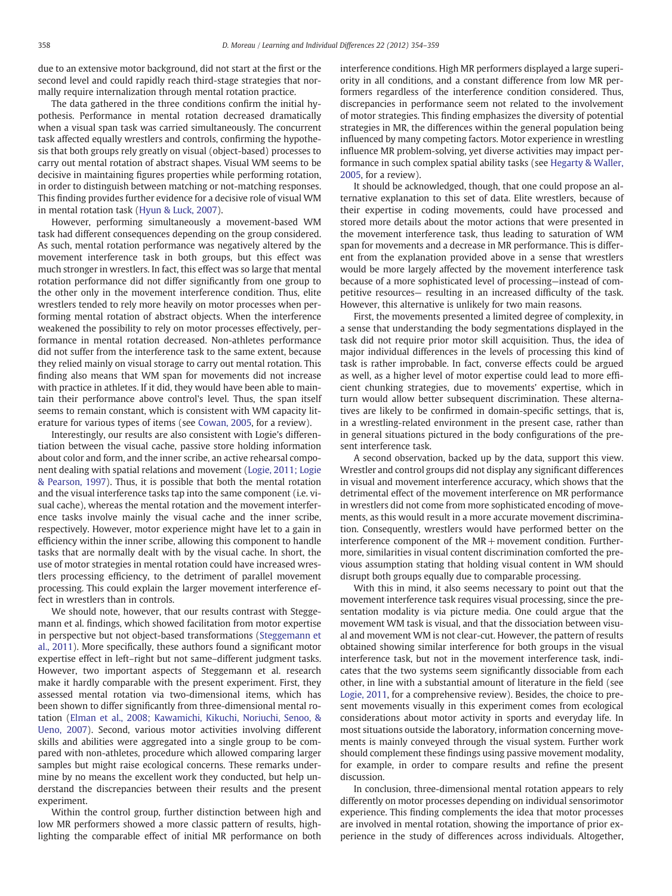due to an extensive motor background, did not start at the first or the second level and could rapidly reach third-stage strategies that normally require internalization through mental rotation practice.

The data gathered in the three conditions confirm the initial hypothesis. Performance in mental rotation decreased dramatically when a visual span task was carried simultaneously. The concurrent task affected equally wrestlers and controls, confirming the hypothesis that both groups rely greatly on visual (object-based) processes to carry out mental rotation of abstract shapes. Visual WM seems to be decisive in maintaining figures properties while performing rotation, in order to distinguish between matching or not-matching responses. This finding provides further evidence for a decisive role of visual WM in mental rotation task [\(Hyun & Luck, 2007\)](#page-5-0).

However, performing simultaneously a movement-based WM task had different consequences depending on the group considered. As such, mental rotation performance was negatively altered by the movement interference task in both groups, but this effect was much stronger in wrestlers. In fact, this effect was so large that mental rotation performance did not differ significantly from one group to the other only in the movement interference condition. Thus, elite wrestlers tended to rely more heavily on motor processes when performing mental rotation of abstract objects. When the interference weakened the possibility to rely on motor processes effectively, performance in mental rotation decreased. Non-athletes performance did not suffer from the interference task to the same extent, because they relied mainly on visual storage to carry out mental rotation. This finding also means that WM span for movements did not increase with practice in athletes. If it did, they would have been able to maintain their performance above control's level. Thus, the span itself seems to remain constant, which is consistent with WM capacity literature for various types of items (see [Cowan, 2005,](#page-5-0) for a review).

Interestingly, our results are also consistent with Logie's differentiation between the visual cache, passive store holding information about color and form, and the inner scribe, an active rehearsal component dealing with spatial relations and movement ([Logie, 2011; Logie](#page-5-0) [& Pearson, 1997](#page-5-0)). Thus, it is possible that both the mental rotation and the visual interference tasks tap into the same component (i.e. visual cache), whereas the mental rotation and the movement interference tasks involve mainly the visual cache and the inner scribe, respectively. However, motor experience might have let to a gain in efficiency within the inner scribe, allowing this component to handle tasks that are normally dealt with by the visual cache. In short, the use of motor strategies in mental rotation could have increased wrestlers processing efficiency, to the detriment of parallel movement processing. This could explain the larger movement interference effect in wrestlers than in controls.

We should note, however, that our results contrast with Steggemann et al. findings, which showed facilitation from motor expertise in perspective but not object-based transformations [\(Steggemann et](#page-5-0) [al., 2011\)](#page-5-0). More specifically, these authors found a significant motor expertise effect in left–right but not same–different judgment tasks. However, two important aspects of Steggemann et al. research make it hardly comparable with the present experiment. First, they assessed mental rotation via two-dimensional items, which has been shown to differ significantly from three-dimensional mental rotation [\(Elman et al., 2008; Kawamichi, Kikuchi, Noriuchi, Senoo, &](#page-5-0) [Ueno, 2007](#page-5-0)). Second, various motor activities involving different skills and abilities were aggregated into a single group to be compared with non-athletes, procedure which allowed comparing larger samples but might raise ecological concerns. These remarks undermine by no means the excellent work they conducted, but help understand the discrepancies between their results and the present experiment.

Within the control group, further distinction between high and low MR performers showed a more classic pattern of results, highlighting the comparable effect of initial MR performance on both interference conditions. High MR performers displayed a large superiority in all conditions, and a constant difference from low MR performers regardless of the interference condition considered. Thus, discrepancies in performance seem not related to the involvement of motor strategies. This finding emphasizes the diversity of potential strategies in MR, the differences within the general population being influenced by many competing factors. Motor experience in wrestling influence MR problem-solving, yet diverse activities may impact performance in such complex spatial ability tasks (see [Hegarty & Waller,](#page-5-0) [2005,](#page-5-0) for a review).

It should be acknowledged, though, that one could propose an alternative explanation to this set of data. Elite wrestlers, because of their expertise in coding movements, could have processed and stored more details about the motor actions that were presented in the movement interference task, thus leading to saturation of WM span for movements and a decrease in MR performance. This is different from the explanation provided above in a sense that wrestlers would be more largely affected by the movement interference task because of a more sophisticated level of processing—instead of competitive resources— resulting in an increased difficulty of the task. However, this alternative is unlikely for two main reasons.

First, the movements presented a limited degree of complexity, in a sense that understanding the body segmentations displayed in the task did not require prior motor skill acquisition. Thus, the idea of major individual differences in the levels of processing this kind of task is rather improbable. In fact, converse effects could be argued as well, as a higher level of motor expertise could lead to more efficient chunking strategies, due to movements' expertise, which in turn would allow better subsequent discrimination. These alternatives are likely to be confirmed in domain-specific settings, that is, in a wrestling-related environment in the present case, rather than in general situations pictured in the body configurations of the present interference task.

A second observation, backed up by the data, support this view. Wrestler and control groups did not display any significant differences in visual and movement interference accuracy, which shows that the detrimental effect of the movement interference on MR performance in wrestlers did not come from more sophisticated encoding of movements, as this would result in a more accurate movement discrimination. Consequently, wrestlers would have performed better on the interference component of the  $MR +$ movement condition. Furthermore, similarities in visual content discrimination comforted the previous assumption stating that holding visual content in WM should disrupt both groups equally due to comparable processing.

With this in mind, it also seems necessary to point out that the movement interference task requires visual processing, since the presentation modality is via picture media. One could argue that the movement WM task is visual, and that the dissociation between visual and movement WM is not clear-cut. However, the pattern of results obtained showing similar interference for both groups in the visual interference task, but not in the movement interference task, indicates that the two systems seem significantly dissociable from each other, in line with a substantial amount of literature in the field (see [Logie, 2011](#page-5-0), for a comprehensive review). Besides, the choice to present movements visually in this experiment comes from ecological considerations about motor activity in sports and everyday life. In most situations outside the laboratory, information concerning movements is mainly conveyed through the visual system. Further work should complement these findings using passive movement modality, for example, in order to compare results and refine the present discussion.

In conclusion, three-dimensional mental rotation appears to rely differently on motor processes depending on individual sensorimotor experience. This finding complements the idea that motor processes are involved in mental rotation, showing the importance of prior experience in the study of differences across individuals. Altogether,